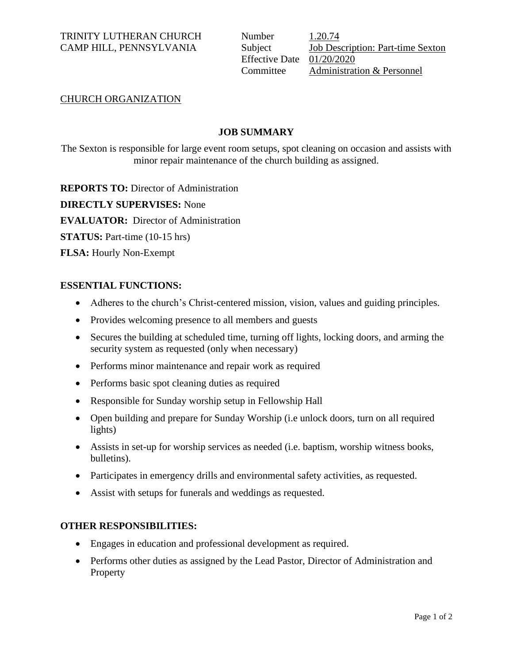# TRINITY LUTHERAN CHURCH Number 1.20.74

CAMP HILL, PENNSYLVANIA Subject Job Description: Part-time Sexton Effective Date 01/20/2020 Committee Administration & Personnel

# CHURCH ORGANIZATION

# **JOB SUMMARY**

The Sexton is responsible for large event room setups, spot cleaning on occasion and assists with minor repair maintenance of the church building as assigned.

**REPORTS TO:** Director of Administration **DIRECTLY SUPERVISES:** None

**EVALUATOR:** Director of Administration

**STATUS:** Part-time (10-15 hrs)

**FLSA:** Hourly Non-Exempt

# **ESSENTIAL FUNCTIONS:**

- Adheres to the church's Christ-centered mission, vision, values and guiding principles.
- Provides welcoming presence to all members and guests
- Secures the building at scheduled time, turning off lights, locking doors, and arming the security system as requested (only when necessary)
- Performs minor maintenance and repair work as required
- Performs basic spot cleaning duties as required
- Responsible for Sunday worship setup in Fellowship Hall
- Open building and prepare for Sunday Worship (i.e unlock doors, turn on all required lights)
- Assists in set-up for worship services as needed (i.e. baptism, worship witness books, bulletins).
- Participates in emergency drills and environmental safety activities, as requested.
- Assist with setups for funerals and weddings as requested.

# **OTHER RESPONSIBILITIES:**

- Engages in education and professional development as required.
- Performs other duties as assigned by the Lead Pastor, Director of Administration and **Property**